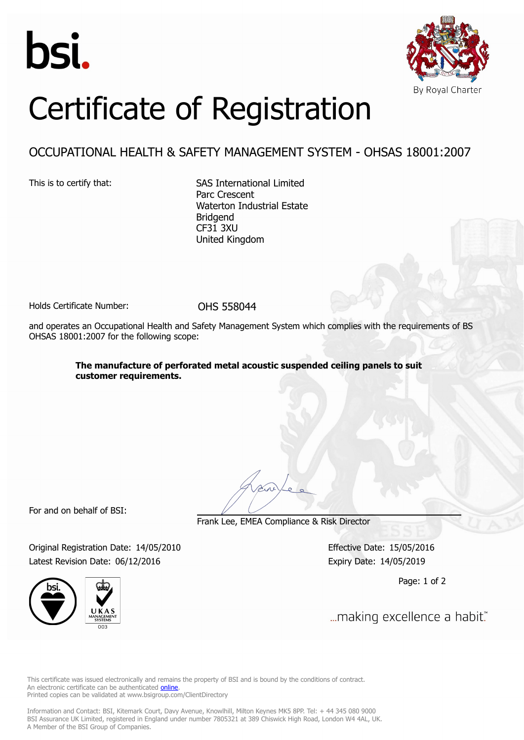



## Certificate of Registration

## OCCUPATIONAL HEALTH & SAFETY MANAGEMENT SYSTEM - OHSAS 18001:2007

This is to certify that: SAS International Limited Parc Crescent Waterton Industrial Estate Bridgend CF31 3XU United Kingdom

Holds Certificate Number: 0HS 558044

and operates an Occupational Health and Safety Management System which complies with the requirements of BS OHSAS 18001:2007 for the following scope:

> **The manufacture of perforated metal acoustic suspended ceiling panels to suit customer requirements.**

For and on behalf of BSI:

Frank Lee, EMEA Compliance & Risk Director

Original Registration Date: 14/05/2010 Effective Date: 15/05/2016 Latest Revision Date: 06/12/2016 Expiry Date: 14/05/2019



Page: 1 of 2

... making excellence a habit."

This certificate was issued electronically and remains the property of BSI and is bound by the conditions of contract. An electronic certificate can be authenticated **[online](https://pgplus.bsigroup.com/CertificateValidation/CertificateValidator.aspx?CertificateNumber=OHS 558044&ReIssueDate=06/12/2016&Template=uk)**. Printed copies can be validated at www.bsigroup.com/ClientDirectory

Information and Contact: BSI, Kitemark Court, Davy Avenue, Knowlhill, Milton Keynes MK5 8PP. Tel: + 44 345 080 9000 BSI Assurance UK Limited, registered in England under number 7805321 at 389 Chiswick High Road, London W4 4AL, UK. A Member of the BSI Group of Companies.